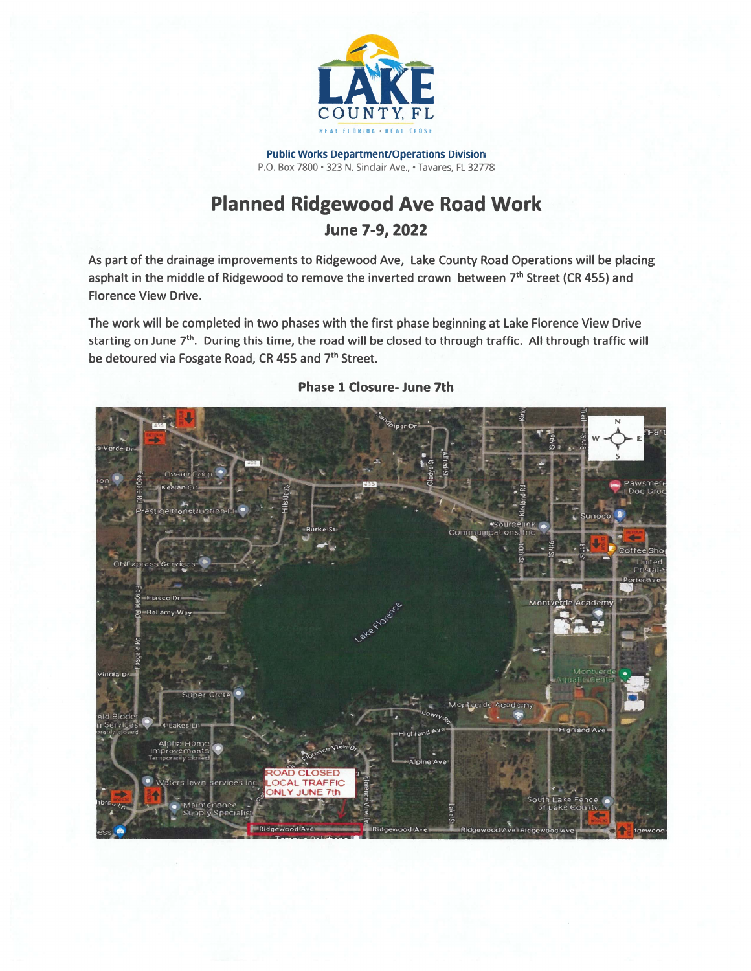

**Public Works Department/Operations Division** P.O. Box 7800 · 323 N. Sinclair Ave., · Tavares, FL 32778

## **Planned Ridgewood Ave Road Work**

## June 7-9, 2022

As part of the drainage improvements to Ridgewood Ave, Lake County Road Operations will be placing asphalt in the middle of Ridgewood to remove the inverted crown between 7<sup>th</sup> Street (CR 455) and **Florence View Drive.** 

The work will be completed in two phases with the first phase beginning at Lake Florence View Drive starting on June 7<sup>th</sup>. During this time, the road will be closed to through traffic. All through traffic will be detoured via Fosgate Road, CR 455 and 7<sup>th</sup> Street.



## **Phase 1 Closure- June 7th**